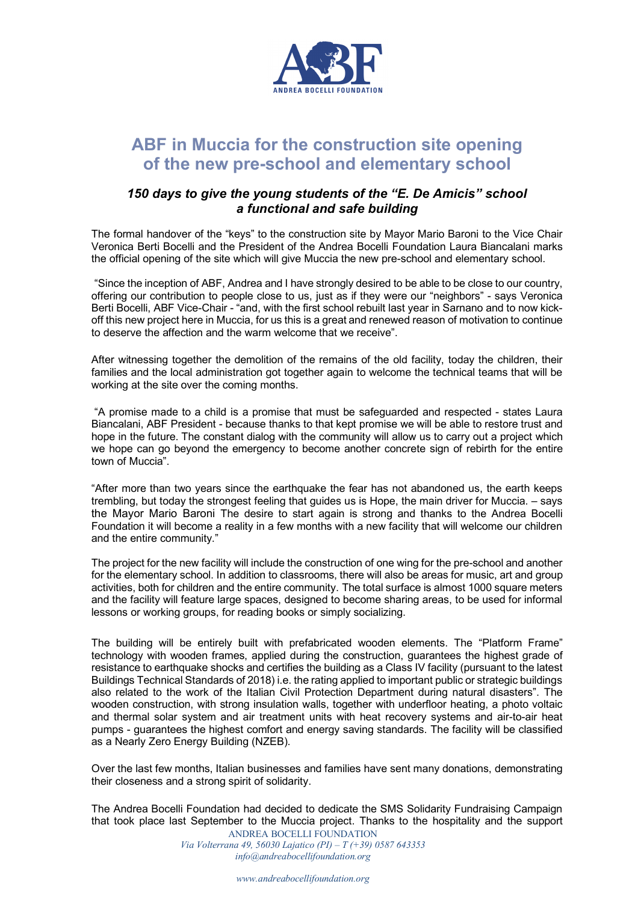

## **ABF in Muccia for the construction site opening of the new pre-school and elementary school**

## *150 days to give the young students of the "E. De Amicis" school a functional and safe building*

The formal handover of the "keys" to the construction site by Mayor Mario Baroni to the Vice Chair Veronica Berti Bocelli and the President of the Andrea Bocelli Foundation Laura Biancalani marks the official opening of the site which will give Muccia the new pre-school and elementary school.

"Since the inception of ABF, Andrea and I have strongly desired to be able to be close to our country, offering our contribution to people close to us, just as if they were our "neighbors" - says Veronica Berti Bocelli, ABF Vice-Chair - "and, with the first school rebuilt last year in Sarnano and to now kickoff this new project here in Muccia, for us this is a great and renewed reason of motivation to continue to deserve the affection and the warm welcome that we receive".

After witnessing together the demolition of the remains of the old facility, today the children, their families and the local administration got together again to welcome the technical teams that will be working at the site over the coming months.

"A promise made to a child is a promise that must be safeguarded and respected - states Laura Biancalani, ABF President - because thanks to that kept promise we will be able to restore trust and hope in the future. The constant dialog with the community will allow us to carry out a project which we hope can go beyond the emergency to become another concrete sign of rebirth for the entire town of Muccia".

"After more than two years since the earthquake the fear has not abandoned us, the earth keeps trembling, but today the strongest feeling that guides us is Hope, the main driver for Muccia. – says the Mayor Mario Baroni The desire to start again is strong and thanks to the Andrea Bocelli Foundation it will become a reality in a few months with a new facility that will welcome our children and the entire community."

The project for the new facility will include the construction of one wing for the pre-school and another for the elementary school. In addition to classrooms, there will also be areas for music, art and group activities, both for children and the entire community. The total surface is almost 1000 square meters and the facility will feature large spaces, designed to become sharing areas, to be used for informal lessons or working groups, for reading books or simply socializing.

The building will be entirely built with prefabricated wooden elements. The "Platform Frame" technology with wooden frames, applied during the construction, guarantees the highest grade of resistance to earthquake shocks and certifies the building as a Class IV facility (pursuant to the latest Buildings Technical Standards of 2018) i.e. the rating applied to important public or strategic buildings also related to the work of the Italian Civil Protection Department during natural disasters". The wooden construction, with strong insulation walls, together with underfloor heating, a photo voltaic and thermal solar system and air treatment units with heat recovery systems and air-to-air heat pumps - guarantees the highest comfort and energy saving standards. The facility will be classified as a Nearly Zero Energy Building (NZEB).

Over the last few months, Italian businesses and families have sent many donations, demonstrating their closeness and a strong spirit of solidarity.

ANDREA BOCELLI FOUNDATION The Andrea Bocelli Foundation had decided to dedicate the SMS Solidarity Fundraising Campaign that took place last September to the Muccia project. Thanks to the hospitality and the support

*Via Volterrana 49, 56030 Lajatico (PI) – T (+39) 0587 643353 info@andreabocellifoundation.org*